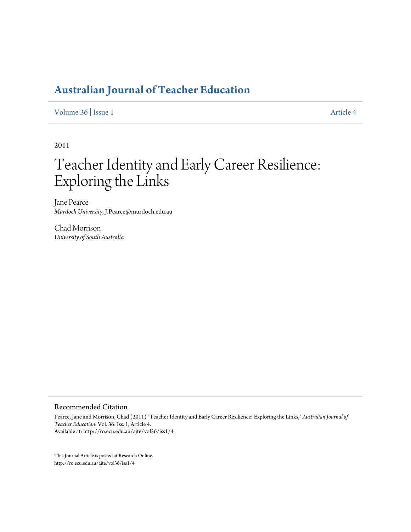# **[Australian Journal of Teacher Education](http://ro.ecu.edu.au/ajte)**

[Volume 36](http://ro.ecu.edu.au/ajte/vol36) | [Issue 1](http://ro.ecu.edu.au/ajte/vol36/iss1) [Article 4](http://ro.ecu.edu.au/ajte/vol36/iss1/4)

2011

# Teacher Identity and Early Career Resilience: Exploring the Links

Jane Pearce *Murdoch University*, J.Pearce@murdoch.edu.au

Chad Morrison *University of South Australia*

#### Recommended Citation

Pearce, Jane and Morrison, Chad (2011) "Teacher Identity and Early Career Resilience: Exploring the Links," *Australian Journal of Teacher Education*: Vol. 36: Iss. 1, Article 4. Available at: http://ro.ecu.edu.au/ajte/vol36/iss1/4

This Journal Article is posted at Research Online. http://ro.ecu.edu.au/ajte/vol36/iss1/4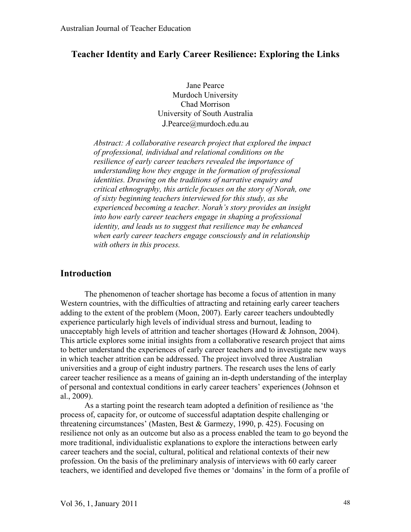# **Teacher Identity and Early Career Resilience: Exploring the Links**

Jane Pearce Murdoch University Chad Morrison University of South Australia J.Pearce@murdoch.edu.au

*Abstract: A collaborative research project that explored the impact of professional, individual and relational conditions on the resilience of early career teachers revealed the importance of understanding how they engage in the formation of professional identities. Drawing on the traditions of narrative enquiry and critical ethnography, this article focuses on the story of Norah, one of sixty beginning teachers interviewed for this study, as she experienced becoming a teacher. Norah's story provides an insight into how early career teachers engage in shaping a professional identity, and leads us to suggest that resilience may be enhanced when early career teachers engage consciously and in relationship with others in this process.*

# **Introduction**

The phenomenon of teacher shortage has become a focus of attention in many Western countries, with the difficulties of attracting and retaining early career teachers adding to the extent of the problem (Moon, 2007). Early career teachers undoubtedly experience particularly high levels of individual stress and burnout, leading to unacceptably high levels of attrition and teacher shortages (Howard  $&$  Johnson, 2004). This article explores some initial insights from a collaborative research project that aims to better understand the experiences of early career teachers and to investigate new ways in which teacher attrition can be addressed. The project involved three Australian universities and a group of eight industry partners. The research uses the lens of early career teacher resilience as a means of gaining an in-depth understanding of the interplay of personal and contextual conditions in early career teachers' experiences (Johnson et al., 2009).

As a starting point the research team adopted a definition of resilience as 'the process of, capacity for, or outcome of successful adaptation despite challenging or threatening circumstances' (Masten, Best & Garmezy, 1990, p. 425). Focusing on resilience not only as an outcome but also as a process enabled the team to go beyond the more traditional, individualistic explanations to explore the interactions between early career teachers and the social, cultural, political and relational contexts of their new profession. On the basis of the preliminary analysis of interviews with 60 early career teachers, we identified and developed five themes or 'domains' in the form of a profile of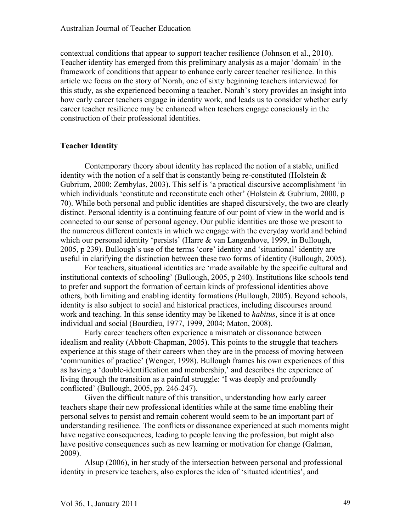contextual conditions that appear to support teacher resilience (Johnson et al., 2010). Teacher identity has emerged from this preliminary analysis as a major 'domain' in the framework of conditions that appear to enhance early career teacher resilience. In this article we focus on the story of Norah, one of sixty beginning teachers interviewed for this study, as she experienced becoming a teacher. Norah's story provides an insight into how early career teachers engage in identity work, and leads us to consider whether early career teacher resilience may be enhanced when teachers engage consciously in the construction of their professional identities.

### **Teacher Identity**

Contemporary theory about identity has replaced the notion of a stable, unified identity with the notion of a self that is constantly being re-constituted (Holstein  $\&$ Gubrium, 2000; Zembylas, 2003). This self is 'a practical discursive accomplishment 'in which individuals 'constitute and reconstitute each other' (Holstein & Gubrium, 2000, p 70). While both personal and public identities are shaped discursively, the two are clearly distinct. Personal identity is a continuing feature of our point of view in the world and is connected to our sense of personal agency. Our public identities are those we present to the numerous different contexts in which we engage with the everyday world and behind which our personal identity 'persists' (Harre & van Langenhove, 1999, in Bullough, 2005, p 239). Bullough's use of the terms 'core' identity and 'situational' identity are useful in clarifying the distinction between these two forms of identity (Bullough, 2005).

For teachers, situational identities are 'made available by the specific cultural and institutional contexts of schooling' (Bullough, 2005, p 240). Institutions like schools tend to prefer and support the formation of certain kinds of professional identities above others, both limiting and enabling identity formations (Bullough, 2005). Beyond schools, identity is also subject to social and historical practices, including discourses around work and teaching. In this sense identity may be likened to *habitus*, since it is at once individual and social (Bourdieu, 1977, 1999, 2004; Maton, 2008).

Early career teachers often experience a mismatch or dissonance between idealism and reality (Abbott-Chapman, 2005). This points to the struggle that teachers experience at this stage of their careers when they are in the process of moving between 'communities of practice' (Wenger, 1998). Bullough frames his own experiences of this as having a 'double-identification and membership,' and describes the experience of living through the transition as a painful struggle: 'I was deeply and profoundly conflicted' (Bullough, 2005, pp. 246-247).

Given the difficult nature of this transition, understanding how early career teachers shape their new professional identities while at the same time enabling their personal selves to persist and remain coherent would seem to be an important part of understanding resilience. The conflicts or dissonance experienced at such moments might have negative consequences, leading to people leaving the profession, but might also have positive consequences such as new learning or motivation for change (Galman, 2009).

Alsup (2006), in her study of the intersection between personal and professional identity in preservice teachers, also explores the idea of 'situated identities', and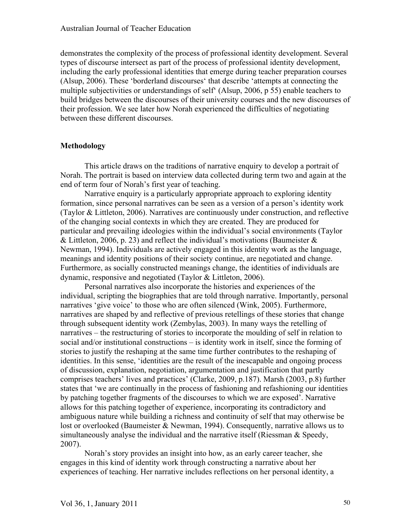demonstrates the complexity of the process of professional identity development. Several types of discourse intersect as part of the process of professional identity development, including the early professional identities that emerge during teacher preparation courses (Alsup, 2006). These 'borderland discourses' that describe 'attempts at connecting the multiple subjectivities or understandings of self' (Alsup, 2006, p 55) enable teachers to build bridges between the discourses of their university courses and the new discourses of their profession. We see later how Norah experienced the difficulties of negotiating between these different discourses.

#### **Methodology**

This article draws on the traditions of narrative enquiry to develop a portrait of Norah. The portrait is based on interview data collected during term two and again at the end of term four of Norah's first year of teaching.

Narrative enquiry is a particularly appropriate approach to exploring identity formation, since personal narratives can be seen as a version of a person's identity work (Taylor & Littleton, 2006). Narratives are continuously under construction, and reflective of the changing social contexts in which they are created. They are produced for particular and prevailing ideologies within the individual's social environments (Taylor & Littleton, 2006, p. 23) and reflect the individual's motivations (Baumeister  $\&$ Newman, 1994). Individuals are actively engaged in this identity work as the language, meanings and identity positions of their society continue, are negotiated and change. Furthermore, as socially constructed meanings change, the identities of individuals are dynamic, responsive and negotiated (Taylor & Littleton, 2006).

Personal narratives also incorporate the histories and experiences of the individual, scripting the biographies that are told through narrative. Importantly, personal narratives 'give voice' to those who are often silenced (Wink, 2005). Furthermore, narratives are shaped by and reflective of previous retellings of these stories that change through subsequent identity work (Zembylas, 2003). In many ways the retelling of narratives – the restructuring of stories to incorporate the moulding of self in relation to social and/or institutional constructions – is identity work in itself, since the forming of stories to justify the reshaping at the same time further contributes to the reshaping of identities. In this sense, 'identities are the result of the inescapable and ongoing process of discussion, explanation, negotiation, argumentation and justification that partly comprises teachers' lives and practices' (Clarke, 2009, p.187). Marsh (2003, p.8) further states that 'we are continually in the process of fashioning and refashioning our identities by patching together fragments of the discourses to which we are exposed'. Narrative allows for this patching together of experience, incorporating its contradictory and ambiguous nature while building a richness and continuity of self that may otherwise be lost or overlooked (Baumeister & Newman, 1994). Consequently, narrative allows us to simultaneously analyse the individual and the narrative itself (Riessman & Speedy, 2007).

Norah's story provides an insight into how, as an early career teacher, she engages in this kind of identity work through constructing a narrative about her experiences of teaching. Her narrative includes reflections on her personal identity, a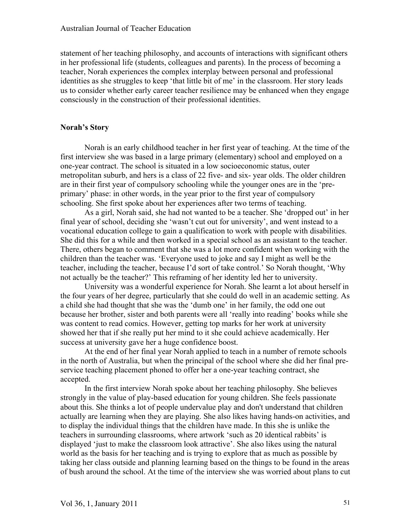statement of her teaching philosophy, and accounts of interactions with significant others in her professional life (students, colleagues and parents). In the process of becoming a teacher, Norah experiences the complex interplay between personal and professional identities as she struggles to keep 'that little bit of me' in the classroom. Her story leads us to consider whether early career teacher resilience may be enhanced when they engage consciously in the construction of their professional identities.

# **Norah's Story**

Norah is an early childhood teacher in her first year of teaching. At the time of the first interview she was based in a large primary (elementary) school and employed on a one-year contract. The school is situated in a low socioeconomic status, outer metropolitan suburb, and hers is a class of 22 five- and six- year olds. The older children are in their first year of compulsory schooling while the younger ones are in the 'preprimary' phase: in other words, in the year prior to the first year of compulsory schooling. She first spoke about her experiences after two terms of teaching.

As a girl, Norah said, she had not wanted to be a teacher. She 'dropped out' in her final year of school, deciding she 'wasn't cut out for university', and went instead to a vocational education college to gain a qualification to work with people with disabilities. She did this for a while and then worked in a special school as an assistant to the teacher. There, others began to comment that she was a lot more confident when working with the children than the teacher was. 'Everyone used to joke and say I might as well be the teacher, including the teacher, because I'd sort of take control.' So Norah thought, 'Why not actually be the teacher?' This reframing of her identity led her to university.

University was a wonderful experience for Norah. She learnt a lot about herself in the four years of her degree, particularly that she could do well in an academic setting. As a child she had thought that she was the 'dumb one' in her family, the odd one out because her brother, sister and both parents were all 'really into reading' books while she was content to read comics. However, getting top marks for her work at university showed her that if she really put her mind to it she could achieve academically. Her success at university gave her a huge confidence boost.

At the end of her final year Norah applied to teach in a number of remote schools in the north of Australia, but when the principal of the school where she did her final preservice teaching placement phoned to offer her a one-year teaching contract, she accepted.

In the first interview Norah spoke about her teaching philosophy. She believes strongly in the value of play-based education for young children. She feels passionate about this. She thinks a lot of people undervalue play and don't understand that children actually are learning when they are playing. She also likes having hands-on activities, and to display the individual things that the children have made. In this she is unlike the teachers in surrounding classrooms, where artwork 'such as 20 identical rabbits' is displayed 'just to make the classroom look attractive'. She also likes using the natural world as the basis for her teaching and is trying to explore that as much as possible by taking her class outside and planning learning based on the things to be found in the areas of bush around the school. At the time of the interview she was worried about plans to cut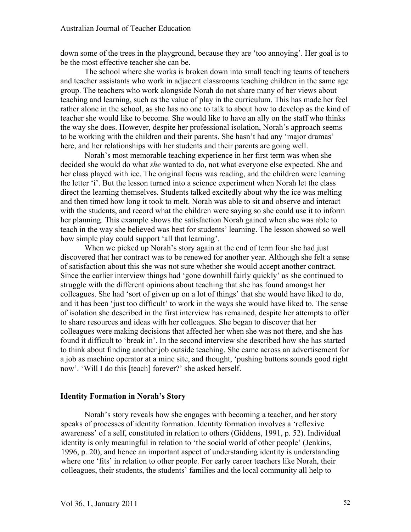down some of the trees in the playground, because they are 'too annoying'. Her goal is to be the most effective teacher she can be.

The school where she works is broken down into small teaching teams of teachers and teacher assistants who work in adjacent classrooms teaching children in the same age group. The teachers who work alongside Norah do not share many of her views about teaching and learning, such as the value of play in the curriculum. This has made her feel rather alone in the school, as she has no one to talk to about how to develop as the kind of teacher she would like to become. She would like to have an ally on the staff who thinks the way she does. However, despite her professional isolation, Norah's approach seems to be working with the children and their parents. She hasn't had any 'major dramas' here, and her relationships with her students and their parents are going well.

Norah's most memorable teaching experience in her first term was when she decided she would do what *she* wanted to do, not what everyone else expected. She and her class played with ice. The original focus was reading, and the children were learning the letter 'i'. But the lesson turned into a science experiment when Norah let the class direct the learning themselves. Students talked excitedly about why the ice was melting and then timed how long it took to melt. Norah was able to sit and observe and interact with the students, and record what the children were saying so she could use it to inform her planning. This example shows the satisfaction Norah gained when she was able to teach in the way she believed was best for students' learning. The lesson showed so well how simple play could support 'all that learning'.

When we picked up Norah's story again at the end of term four she had just discovered that her contract was to be renewed for another year. Although she felt a sense of satisfaction about this she was not sure whether she would accept another contract. Since the earlier interview things had 'gone downhill fairly quickly' as she continued to struggle with the different opinions about teaching that she has found amongst her colleagues. She had 'sort of given up on a lot of things' that she would have liked to do, and it has been 'just too difficult' to work in the ways she would have liked to. The sense of isolation she described in the first interview has remained, despite her attempts to offer to share resources and ideas with her colleagues. She began to discover that her colleagues were making decisions that affected her when she was not there, and she has found it difficult to 'break in'. In the second interview she described how she has started to think about finding another job outside teaching. She came across an advertisement for a job as machine operator at a mine site, and thought, 'pushing buttons sounds good right now'. 'Will I do this [teach] forever?' she asked herself.

#### **Identity Formation in Norah's Story**

Norah's story reveals how she engages with becoming a teacher, and her story speaks of processes of identity formation. Identity formation involves a 'reflexive awareness' of a self, constituted in relation to others (Giddens, 1991, p. 52). Individual identity is only meaningful in relation to 'the social world of other people' (Jenkins, 1996, p. 20), and hence an important aspect of understanding identity is understanding where one 'fits' in relation to other people. For early career teachers like Norah, their colleagues, their students, the students' families and the local community all help to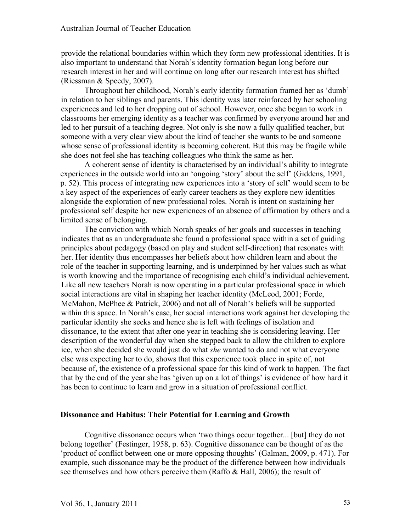provide the relational boundaries within which they form new professional identities. It is also important to understand that Norah's identity formation began long before our research interest in her and will continue on long after our research interest has shifted (Riessman & Speedy, 2007).

Throughout her childhood, Norah's early identity formation framed her as 'dumb' in relation to her siblings and parents. This identity was later reinforced by her schooling experiences and led to her dropping out of school. However, once she began to work in classrooms her emerging identity as a teacher was confirmed by everyone around her and led to her pursuit of a teaching degree. Not only is she now a fully qualified teacher, but someone with a very clear view about the kind of teacher she wants to be and someone whose sense of professional identity is becoming coherent. But this may be fragile while she does not feel she has teaching colleagues who think the same as her.

A coherent sense of identity is characterised by an individual's ability to integrate experiences in the outside world into an 'ongoing 'story' about the self' (Giddens, 1991, p. 52). This process of integrating new experiences into a 'story of self' would seem to be a key aspect of the experiences of early career teachers as they explore new identities alongside the exploration of new professional roles. Norah is intent on sustaining her professional self despite her new experiences of an absence of affirmation by others and a limited sense of belonging.

The conviction with which Norah speaks of her goals and successes in teaching indicates that as an undergraduate she found a professional space within a set of guiding principles about pedagogy (based on play and student self-direction) that resonates with her. Her identity thus encompasses her beliefs about how children learn and about the role of the teacher in supporting learning, and is underpinned by her values such as what is worth knowing and the importance of recognising each child's individual achievement. Like all new teachers Norah is now operating in a particular professional space in which social interactions are vital in shaping her teacher identity (McLeod, 2001; Forde, McMahon, McPhee & Patrick, 2006) and not all of Norah's beliefs will be supported within this space. In Norah's case, her social interactions work against her developing the particular identity she seeks and hence she is left with feelings of isolation and dissonance, to the extent that after one year in teaching she is considering leaving. Her description of the wonderful day when she stepped back to allow the children to explore ice, when she decided she would just do what *she* wanted to do and not what everyone else was expecting her to do, shows that this experience took place in spite of, not because of, the existence of a professional space for this kind of work to happen. The fact that by the end of the year she has 'given up on a lot of things' is evidence of how hard it has been to continue to learn and grow in a situation of professional conflict.

#### **Dissonance and Habitus: Their Potential for Learning and Growth**

Cognitive dissonance occurs when 'two things occur together... [but] they do not belong together' (Festinger, 1958, p. 63). Cognitive dissonance can be thought of as the 'product of conflict between one or more opposing thoughts' (Galman, 2009, p. 471). For example, such dissonance may be the product of the difference between how individuals see themselves and how others perceive them (Raffo & Hall, 2006); the result of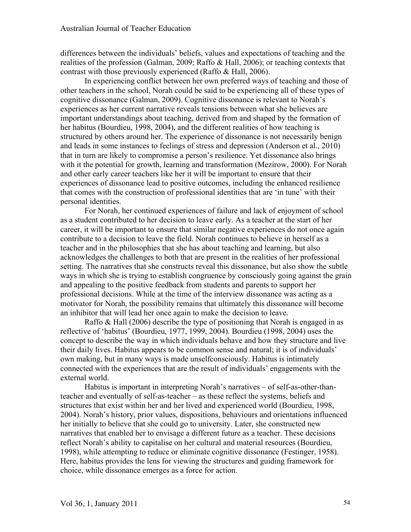differences between the individuals' beliefs, values and expectations of teaching and the realities of the profession (Galman, 2009; Raffo & Hall, 2006); or teaching contexts that contrast with those previously experienced (Raffo & Hall, 2006).

In experiencing conflict between her own preferred ways of teaching and those of other teachers in the school, Norah could be said to be experiencing all of these types of cognitive dissonance (Galman, 2009). Cognitive dissonance is relevant to Norah's experiences as her current narrative reveals tensions between what she believes are important understandings about teaching, derived from and shaped by the formation of her habitus (Bourdieu, 1998, 2004), and the different realities of how teaching is structured by others around her. The experience of dissonance is not necessarily benign and leads in some instances to feelings of stress and depression (Anderson et al., 2010) that in turn are likely to compromise a person's resilience. Yet dissonance also brings with it the potential for growth, learning and transformation (Mezirow, 2000). For Norah and other early career teachers like her it will be important to ensure that their experiences of dissonance lead to positive outcomes, including the enhanced resilience that comes with the construction of professional identities that are 'in tune' with their personal identities.

For Norah, her continued experiences of failure and lack of enjoyment of school as a student contributed to her decision to leave early. As a teacher at the start of her career, it will be important to ensure that similar negative experiences do not once again contribute to a decision to leave the field. Norah continues to believe in herself as a teacher and in the philosophies that she has about teaching and learning, but also acknowledges the challenges to both that are present in the realities of her professional setting. The narratives that she constructs reveal this dissonance, but also show the subtle ways in which she is trying to establish congruence by consciously going against the grain and appealing to the positive feedback from students and parents to support her professional decisions. While at the time of the interview dissonance was acting as a motivator for Norah, the possibility remains that ultimately this dissonance will become an inhibitor that will lead her once again to make the decision to leave.

Raffo & Hall (2006) describe the type of positioning that Norah is engaged in as reflective of 'habitus' (Bourdieu, 1977, 1999, 2004). Bourdieu (1998, 2004) uses the concept to describe the way in which individuals behave and how they structure and live their daily lives. Habitus appears to be common sense and natural; it is of individuals' own making, but in many ways is made unselfconsciously. Habitus is intimately connected with the experiences that are the result of individuals' engagements with the external world.

Habitus is important in interpreting Norah's narratives – of self-as-other-thanteacher and eventually of self-as-teacher – as these reflect the systems, beliefs and structures that exist within her and her lived and experienced world (Bourdieu, 1998, 2004). Norah's history, prior values, dispositions, behaviours and orientations influenced her initially to believe that she could go to university. Later, she constructed new narratives that enabled her to envisage a different future as a teacher. These decisions reflect Norah's ability to capitalise on her cultural and material resources (Bourdieu, 1998), while attempting to reduce or eliminate cognitive dissonance (Festinger, 1958). Here, habitus provides the lens for viewing the structures and guiding framework for choice, while dissonance emerges as a force for action.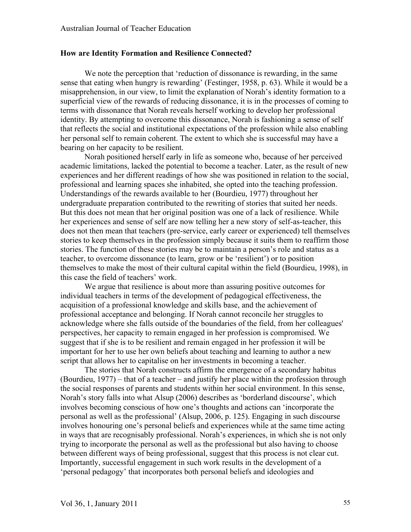#### **How are Identity Formation and Resilience Connected?**

We note the perception that 'reduction of dissonance is rewarding, in the same sense that eating when hungry is rewarding' (Festinger, 1958, p. 63). While it would be a misapprehension, in our view, to limit the explanation of Norah's identity formation to a superficial view of the rewards of reducing dissonance, it is in the processes of coming to terms with dissonance that Norah reveals herself working to develop her professional identity. By attempting to overcome this dissonance, Norah is fashioning a sense of self that reflects the social and institutional expectations of the profession while also enabling her personal self to remain coherent. The extent to which she is successful may have a bearing on her capacity to be resilient.

Norah positioned herself early in life as someone who, because of her perceived academic limitations, lacked the potential to become a teacher. Later, as the result of new experiences and her different readings of how she was positioned in relation to the social, professional and learning spaces she inhabited, she opted into the teaching profession. Understandings of the rewards available to her (Bourdieu, 1977) throughout her undergraduate preparation contributed to the rewriting of stories that suited her needs. But this does not mean that her original position was one of a lack of resilience. While her experiences and sense of self are now telling her a new story of self-as-teacher, this does not then mean that teachers (pre-service, early career or experienced) tell themselves stories to keep themselves in the profession simply because it suits them to reaffirm those stories. The function of these stories may be to maintain a person's role and status as a teacher, to overcome dissonance (to learn, grow or be 'resilient') or to position themselves to make the most of their cultural capital within the field (Bourdieu, 1998), in this case the field of teachers' work.

We argue that resilience is about more than assuring positive outcomes for individual teachers in terms of the development of pedagogical effectiveness, the acquisition of a professional knowledge and skills base, and the achievement of professional acceptance and belonging. If Norah cannot reconcile her struggles to acknowledge where she falls outside of the boundaries of the field, from her colleagues' perspectives, her capacity to remain engaged in her profession is compromised. We suggest that if she is to be resilient and remain engaged in her profession it will be important for her to use her own beliefs about teaching and learning to author a new script that allows her to capitalise on her investments in becoming a teacher.

The stories that Norah constructs affirm the emergence of a secondary habitus (Bourdieu, 1977) – that of a teacher – and justify her place within the profession through the social responses of parents and students within her social environment. In this sense, Norah's story falls into what Alsup (2006) describes as 'borderland discourse', which involves becoming conscious of how one's thoughts and actions can 'incorporate the personal as well as the professional' (Alsup, 2006, p. 125). Engaging in such discourse involves honouring one's personal beliefs and experiences while at the same time acting in ways that are recognisably professional. Norah's experiences, in which she is not only trying to incorporate the personal as well as the professional but also having to choose between different ways of being professional, suggest that this process is not clear cut. Importantly, successful engagement in such work results in the development of a 'personal pedagogy' that incorporates both personal beliefs and ideologies and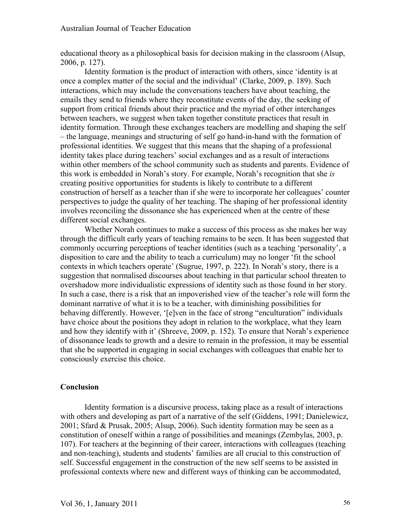educational theory as a philosophical basis for decision making in the classroom (Alsup, 2006, p. 127).

Identity formation is the product of interaction with others, since 'identity is at once a complex matter of the social and the individual' (Clarke, 2009, p. 189). Such interactions, which may include the conversations teachers have about teaching, the emails they send to friends where they reconstitute events of the day, the seeking of support from critical friends about their practice and the myriad of other interchanges between teachers, we suggest when taken together constitute practices that result in identity formation. Through these exchanges teachers are modelling and shaping the self – the language, meanings and structuring of self go hand-in-hand with the formation of professional identities. We suggest that this means that the shaping of a professional identity takes place during teachers' social exchanges and as a result of interactions within other members of the school community such as students and parents. Evidence of this work is embedded in Norah's story. For example, Norah's recognition that she *is* creating positive opportunities for students is likely to contribute to a different construction of herself as a teacher than if she were to incorporate her colleagues' counter perspectives to judge the quality of her teaching. The shaping of her professional identity involves reconciling the dissonance she has experienced when at the centre of these different social exchanges.

Whether Norah continues to make a success of this process as she makes her way through the difficult early years of teaching remains to be seen. It has been suggested that commonly occurring perceptions of teacher identities (such as a teaching 'personality', a disposition to care and the ability to teach a curriculum) may no longer 'fit the school contexts in which teachers operate' (Sugrue, 1997, p. 222). In Norah's story, there is a suggestion that normalised discourses about teaching in that particular school threaten to overshadow more individualistic expressions of identity such as those found in her story. In such a case, there is a risk that an impoverished view of the teacher's role will form the dominant narrative of what it is to be a teacher, with diminishing possibilities for behaving differently. However, '[e]ven in the face of strong "enculturation" individuals have choice about the positions they adopt in relation to the workplace, what they learn and how they identify with it' (Shreeve, 2009, p. 152). To ensure that Norah's experience of dissonance leads to growth and a desire to remain in the profession, it may be essential that she be supported in engaging in social exchanges with colleagues that enable her to consciously exercise this choice.

#### **Conclusion**

Identity formation is a discursive process, taking place as a result of interactions with others and developing as part of a narrative of the self (Giddens, 1991; Danielewicz, 2001; Sfard & Prusak, 2005; Alsup, 2006). Such identity formation may be seen as a constitution of oneself within a range of possibilities and meanings (Zembylas, 2003, p. 107). For teachers at the beginning of their career, interactions with colleagues (teaching and non-teaching), students and students' families are all crucial to this construction of self. Successful engagement in the construction of the new self seems to be assisted in professional contexts where new and different ways of thinking can be accommodated,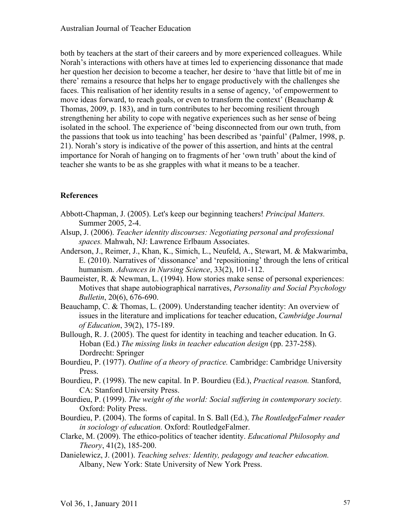both by teachers at the start of their careers and by more experienced colleagues. While Norah's interactions with others have at times led to experiencing dissonance that made her question her decision to become a teacher, her desire to 'have that little bit of me in there' remains a resource that helps her to engage productively with the challenges she faces. This realisation of her identity results in a sense of agency, 'of empowerment to move ideas forward, to reach goals, or even to transform the context' (Beauchamp  $\&$ Thomas, 2009, p. 183), and in turn contributes to her becoming resilient through strengthening her ability to cope with negative experiences such as her sense of being isolated in the school. The experience of 'being disconnected from our own truth, from the passions that took us into teaching' has been described as 'painful' (Palmer, 1998, p. 21). Norah's story is indicative of the power of this assertion, and hints at the central importance for Norah of hanging on to fragments of her 'own truth' about the kind of teacher she wants to be as she grapples with what it means to be a teacher.

# **References**

- Abbott-Chapman, J. (2005). Let's keep our beginning teachers! *Principal Matters.*  Summer 2005, 2-4.
- Alsup, J. (2006). *Teacher identity discourses: Negotiating personal and professional spaces.* Mahwah, NJ: Lawrence Erlbaum Associates.
- Anderson, J., Reimer, J., Khan, K., Simich, L., Neufeld, A., Stewart, M. & Makwarimba, E. (2010). Narratives of 'dissonance' and 'repositioning' through the lens of critical humanism. *Advances in Nursing Science*, 33(2), 101-112.
- Baumeister, R. & Newman, L. (1994). How stories make sense of personal experiences: Motives that shape autobiographical narratives, *Personality and Social Psychology Bulletin*, 20(6), 676-690.
- Beauchamp, C. & Thomas, L. (2009). Understanding teacher identity: An overview of issues in the literature and implications for teacher education, *Cambridge Journal of Education*, 39(2), 175-189.
- Bullough, R. J. (2005). The quest for identity in teaching and teacher education. In G. Hoban (Ed.) *The missing links in teacher education design* (pp. 237-258). Dordrecht: Springer
- Bourdieu, P. (1977). *Outline of a theory of practice.* Cambridge: Cambridge University Press.
- Bourdieu, P. (1998). The new capital. In P. Bourdieu (Ed.), *Practical reason.* Stanford, CA: Stanford University Press.
- Bourdieu, P. (1999). *The weight of the world: Social suffering in contemporary society.*  Oxford: Polity Press.
- Bourdieu, P. (2004). The forms of capital. In S. Ball (Ed.), *The RoutledgeFalmer reader in sociology of education.* Oxford: RoutledgeFalmer.
- Clarke, M. (2009). The ethico-politics of teacher identity. *Educational Philosophy and Theory*, 41(2), 185-200.
- Danielewicz, J. (2001). *Teaching selves: Identity, pedagogy and teacher education.* Albany, New York: State University of New York Press.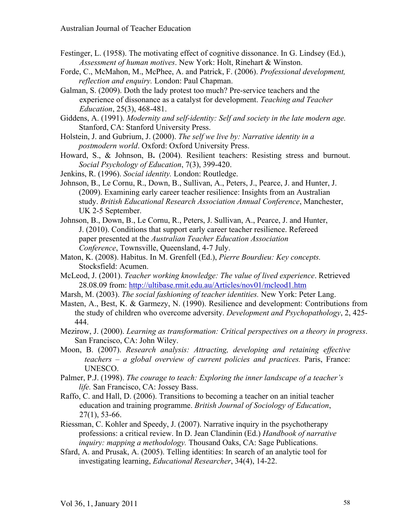- Festinger, L. (1958). The motivating effect of cognitive dissonance. In G. Lindsey (Ed.), *Assessment of human motives*. New York: Holt, Rinehart & Winston.
- Forde, C., McMahon, M., McPhee, A. and Patrick, F. (2006). *Professional development, reflection and enquiry.* London: Paul Chapman.
- Galman, S. (2009). Doth the lady protest too much? Pre-service teachers and the experience of dissonance as a catalyst for development. *Teaching and Teacher Education*, 25(3), 468-481.
- Giddens, A. (1991). *Modernity and self-identity: Self and society in the late modern age.* Stanford, CA: Stanford University Press.
- Holstein, J. and Gubrium, J. (2000). *The self we live by: Narrative identity in a postmodern world*. Oxford: Oxford University Press.
- Howard, S., & Johnson, B**.** (2004). Resilient teachers: Resisting stress and burnout. *Social Psychology of Education*, 7(3), 399-420.
- Jenkins, R. (1996). *Social identity.* London: Routledge.
- Johnson, B., Le Cornu, R., Down, B., Sullivan, A., Peters, J., Pearce, J. and Hunter, J. (2009). Examining early career teacher resilience: Insights from an Australian study. *British Educational Research Association Annual Conference*, Manchester, UK 2-5 September.
- Johnson, B., Down, B., Le Cornu, R., Peters, J. Sullivan, A., Pearce, J. and Hunter, J. (2010). Conditions that support early career teacher resilience. Refereed paper presented at the *Australian Teacher Education Association Conference*, Townsville, Queensland, 4-7 July.
- Maton, K. (2008). Habitus. In M. Grenfell (Ed.), *Pierre Bourdieu: Key concepts.*  Stocksfield: Acumen.
- McLeod, J. (2001). *Teacher working knowledge: The value of lived experience*. Retrieved 28.08.09 from: http://ultibase.rmit.edu.au/Articles/nov01/mcleod1.htm
- Marsh, M. (2003). *The social fashioning of teacher identities.* New York: Peter Lang.
- Masten, A., Best, K. & Garmezy, N. (1990). Resilience and development: Contributions from the study of children who overcome adversity. *Development and Psychopathology*, 2, 425- 444.
- Mezirow, J. (2000). *Learning as transformation: Critical perspectives on a theory in progress*. San Francisco, CA: John Wiley.
- Moon, B. (2007). *Research analysis: Attracting, developing and retaining effective teachers – a global overview of current policies and practices.* Paris, France: UNESCO.
- Palmer, P.J. (1998). *The courage to teach: Exploring the inner landscape of a teacher's life.* San Francisco, CA: Jossey Bass.
- Raffo, C. and Hall, D. (2006). Transitions to becoming a teacher on an initial teacher education and training programme. *British Journal of Sociology of Education*, 27(1), 53-66.
- Riessman, C. Kohler and Speedy, J. (2007). Narrative inquiry in the psychotherapy professions: a critical review. In D. Jean Clandinin (Ed.) *Handbook of narrative inquiry: mapping a methodology.* Thousand Oaks, CA: Sage Publications.
- Sfard, A. and Prusak, A. (2005). Telling identities: In search of an analytic tool for investigating learning, *Educational Researcher*, 34(4), 14-22.